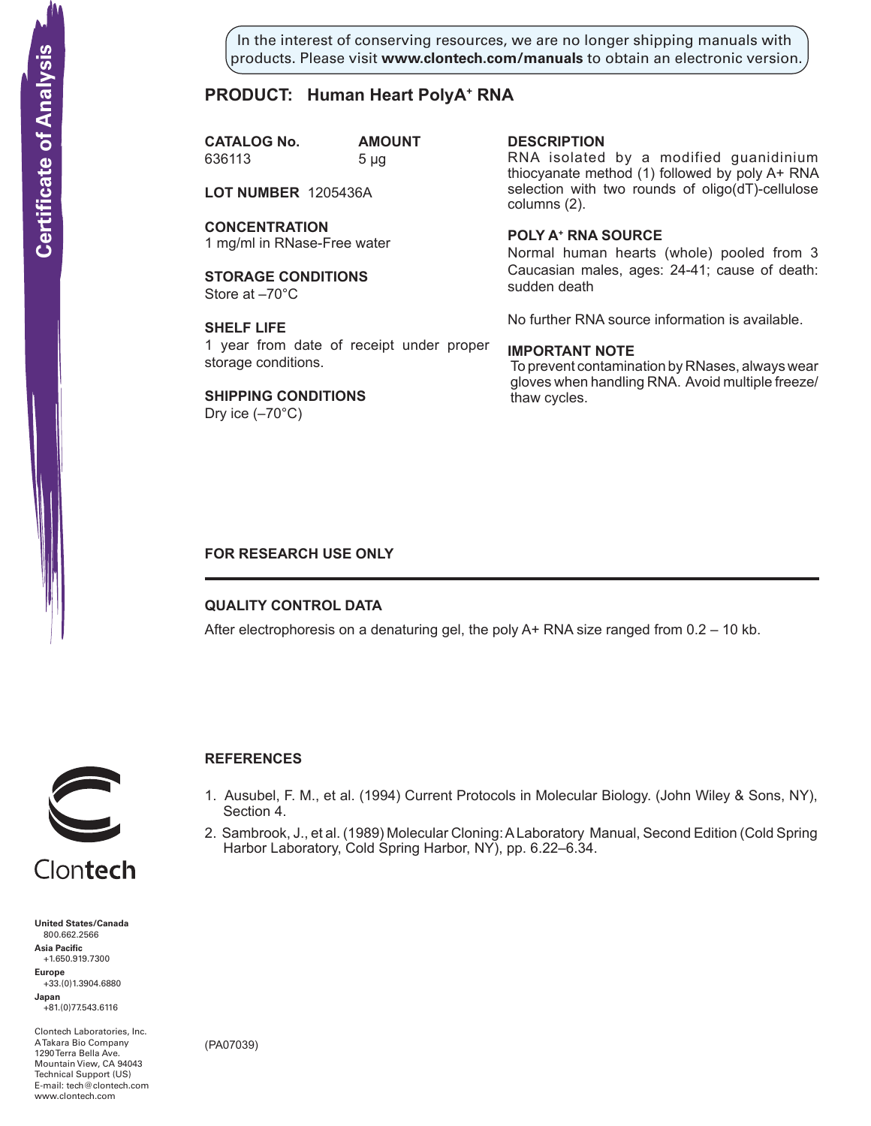In the interest of conserving resources, we are no longer shipping manuals with products. Please visit **www.clontech.com/manuals** to obtain an electronic version.

## **PRODUCT: Human Heart PolyA+ RNA**

**CATALOG No. AMOUNT** 636113 5 µg

**LOT NUMBER** 1205436A

**CONCENTRATION** 1 mg/ml in RNase-Free water

**STORAGE CONDITIONS** Store at –70°C

**SHELF LIFE** 1 year from date of receipt under proper storage conditions.

**SHIPPING CONDITIONS** Dry ice  $(-70^{\circ}C)$ 

**description**

RNA isolated by a modified guanidinium thiocyanate method (1) followed by poly A+ RNA selection with two rounds of oligo(dT)-cellulose columns (2).

**Poly a+ RNA source**

Normal human hearts (whole) pooled from 3 Caucasian males, ages: 24-41; cause of death: sudden death

No further RNA source information is available.

#### **IMPORTANT NOTE**

To prevent contamination by RNases, always wear gloves when handling RNA. Avoid multiple freeze/ thaw cycles.

## **FOR RESEARCH USE ONLY**

### **QUALITY CONTROL DATA**

After electrophoresis on a denaturing gel, the poly  $A+$  RNA size ranged from  $0.2 - 10$  kb.



## **References**

- 1. Ausubel, F. M., et al. (1994) Current Protocols in Molecular Biology. (John Wiley & Sons, NY), Section 4.
- 2. Sambrook, J., et al. (1989) Molecular Cloning: A Laboratory Manual, Second Edition (Cold Spring Harbor Laboratory, Cold Spring Harbor, NY), pp. 6.22–6.34.



**Certificate of Analysis** 

**United States/Canada** 800.662.2566 **Asia Pacific** +1.650.919.7300 **Europe** +33.(0)1.3904.6880 **Japan** +81.(0)77.543.6116 **Solution Control Control Control Control Control Control Control Control Control Control Control Control Control Control Control Control Control Control Control Control Control Control Control Control Control Control Cont** 

Clontech Laboratories, Inc. A Takara Bio Company 1290 Terra Bella Ave. Mountain View, CA 94043 Technical Support (US) E-mail: tech@clontech.com

(PA07039)